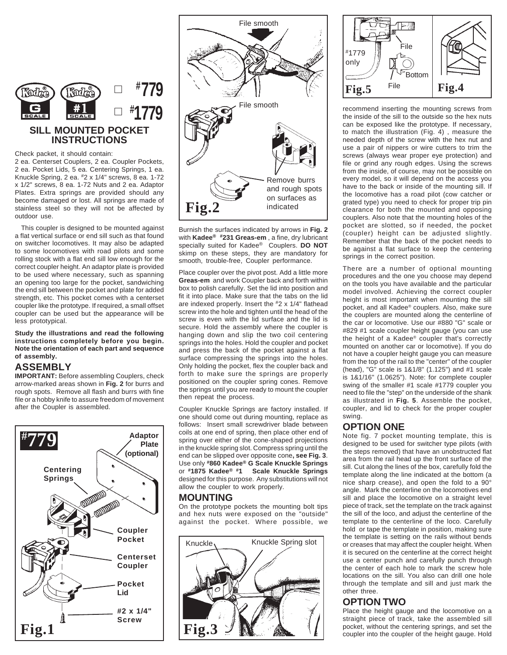

### **SILL MOUNTED POCKET INSTRUCTIONS**

Check packet, it should contain:

2 ea. Centerset Couplers, 2 ea. Coupler Pockets, 2 ea. Pocket Lids, 5 ea. Centering Springs, 1 ea. Knuckle Spring, 2 ea. #2 x 1/4" screws, 8 ea. 1-72 x 1/2" screws, 8 ea. 1-72 Nuts and 2 ea. Adaptor Plates. Extra springs are provided should any become damaged or lost. All springs are made of stainless steel so they will not be affected by outdoor use.

 This coupler is designed to be mounted against a flat vertical surface or end sill such as that found on switcher locomotives. It may also be adapted to some locomotives with road pilots and some rolling stock with a flat end sill low enough for the correct coupler height. An adaptor plate is provided to be used where necessary, such as spanning an opening too large for the pocket, sandwiching the end sill between the pocket and plate for added strength, etc. This pocket comes with a centerset coupler like the prototype. If required, a small offset coupler can be used but the appearance will be less prototypical.

**Study the illustrations and read the following instructions completely before you begin. Note the orientation of each part and sequence of assembly.**

### **ASSEMBLY**

**IMPORTANT:** Before assembling Couplers, check arrow-marked areas shown in **Fig. 2** for burrs and rough spots. Remove all flash and burrs with fine file or a hobby knife to assure freedom of movement after the Coupler is assembled.





Burnish the surfaces indicated by arrows in **Fig. 2** with **Kadee® #231 Greas-em** , a fine, dry lubricant specially suited for Kadee® Couplers. **DO NOT** skimp on these steps, they are mandatory for smooth, trouble-free, Coupler performance.

Place coupler over the pivot post. Add a little more **Greas-em** and work Coupler back and forth within box to polish carefully. Set the lid into position and fit it into place. Make sure that the tabs on the lid are indexed properly. Insert the #2 x 1/4" flathead screw into the hole and tighten until the head of the screw is even with the lid surface and the lid is secure. Hold the assembly where the coupler is hanging down and slip the two coil centering springs into the holes. Hold the coupler and pocket and press the back of the pocket against a flat surface compressing the springs into the holes. Only holding the pocket, flex the coupler back and forth to make sure the springs are properly positioned on the coupler spring cones. Remove the springs until you are ready to mount the coupler then repeat the process.

Coupler Knuckle Springs are factory installed. If one should come out during mounting, replace as follows: Insert small screwdriver blade between coils at one end of spring, then place other end of spring over either of the cone-shaped projections in the knuckle spring slot. Compress spring until the end can be slipped over opposite cone**, see Fig. 3**. Use only **#860 Kadee® G Scale Knuckle Springs** or **#1875 Kadee® #1 Scale Knuckle Springs** designed for this purpose. Any substitutions will not allow the coupler to work properly.

### **MOUNTING**

On the prototype pockets the mounting bolt tips and hex nuts were exposed on the "outside" against the pocket. Where possible, we





recommend inserting the mounting screws from the inside of the sill to the outside so the hex nuts can be exposed like the prototype. If necessary, to match the illustration (Fig. 4) , measure the needed depth of the screw with the hex nut and use a pair of nippers or wire cutters to trim the screws (always wear proper eye protection) and file or grind any rough edges. Using the screws from the inside, of course, may not be possible on every model, so it will depend on the access you have to the back or inside of the mounting sill. If the locomotive has a road pilot (cow catcher or grated type) you need to check for proper trip pin clearance for both the mounted and opposing couplers. Also note that the mounting holes of the pocket are slotted, so if needed, the pocket (coupler) height can be adjusted slightly. Remember that the back of the pocket needs to be against a flat surface to keep the centering springs in the correct position.

There are a number of optional mounting procedures and the one you choose may depend on the tools you have available and the particular model involved. Achieving the correct coupler height is most important when mounting the sill pocket, and all Kadee® couplers. Also, make sure the couplers are mounted along the centerline of the car or locomotive. Use our #880 "G" scale or #829 #1 scale coupler height gauge (you can use the height of a Kadee® coupler that's correctly mounted on another car or locomotive). If you do not have a coupler height gauge you can measure from the top of the rail to the "center" of the coupler (head), "G" scale is 1&1/8" (1.125") and #1 scale is 1&1/16" (1.0625"). Note: for complete coupler swing of the smaller #1 scale #1779 coupler you need to file the "step" on the underside of the shank as illustrated in **Fig. 5**. Assemble the pocket, coupler, and lid to check for the proper coupler swing.

### **OPTION ONE**

Note fig. 7 pocket mounting template, this is designed to be used for switcher type pilots (with the steps removed) that have an unobstructed flat area from the rail head up the front surface of the sill. Cut along the lines of the box, carefully fold the template along the line indicated at the bottom (a nice sharp crease), and open the fold to a 90° angle. Mark the centerline on the locomotives end sill and place the locomotive on a straight level piece of track, set the template on the track against the sill of the loco, and adjust the centerline of the template to the centerline of the loco. Carefully hold or tape the template in position, making sure the template is setting on the rails without bends or creases that may affect the coupler height. When it is secured on the centerline at the correct height use a center punch and carefully punch through the center of each hole to mark the screw hole locations on the sill. You also can drill one hole through the template and sill and just mark the other three.

# **OPTION TWO**

Place the height gauge and the locomotive on a straight piece of track, take the assembled sill pocket, without the centering springs, and set the coupler into the coupler of the height gauge. Hold